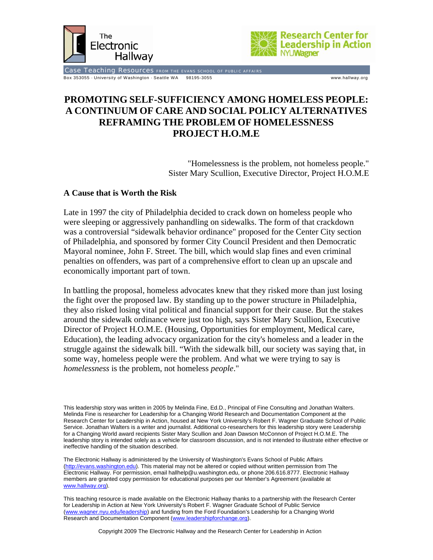



Case Teaching Resources FROM THE EVANS SCHOOL OF PUBLIC AFFAIRS Box 353055 · University of Washington · Seattle WA 98195-3055 www.hallway.org

# **PROMOTING SELF-SUFFICIENCY AMONG HOMELESS PEOPLE: A CONTINUUM OF CARE AND SOCIAL POLICY ALTERNATIVES REFRAMING THE PROBLEM OF HOMELESSNESS PROJECT H.O.M.E**

"Homelessness is the problem, not homeless people." Sister Mary Scullion, Executive Director, Project H.O.M.E

### **A Cause that is Worth the Risk**

Late in 1997 the city of Philadelphia decided to crack down on homeless people who were sleeping or aggressively panhandling on sidewalks. The form of that crackdown was a controversial "sidewalk behavior ordinance" proposed for the Center City section of Philadelphia, and sponsored by former City Council President and then Democratic Mayoral nominee, John F. Street. The bill, which would slap fines and even criminal penalties on offenders, was part of a comprehensive effort to clean up an upscale and economically important part of town.

In battling the proposal, homeless advocates knew that they risked more than just losing the fight over the proposed law. By standing up to the power structure in Philadelphia, they also risked losing vital political and financial support for their cause. But the stakes around the sidewalk ordinance were just too high, says Sister Mary Scullion, Executive Director of Project H.O.M.E. (Housing, Opportunities for employment, Medical care, Education), the leading advocacy organization for the city's homeless and a leader in the struggle against the sidewalk bill. "With the sidewalk bill, our society was saying that, in some way, homeless people were the problem. And what we were trying to say is *homelessness* is the problem, not homeless *people*."

This leadership story was written in 2005 by Melinda Fine, Ed.D., Principal of Fine Consulting and Jonathan Walters. Melinda Fine is researcher for Leadership for a Changing World Research and Documentation Component at the Research Center for Leadership in Action, housed at New York University's Robert F. Wagner Graduate School of Public Service. Jonathan Walters is a writer and journalist. Additional co-researchers for this leadership story were Leadership for a Changing World award recipients Sister Mary Scullion and Joan Dawson McConnon of Project H.O.M.E. The leadership story is intended solely as a vehicle for classroom discussion, and is not intended to illustrate either effective or ineffective handling of the situation described.

The Electronic Hallway is administered by the University of Washington's Evans School of Public Affairs (http://evans.washington.edu). This material may not be altered or copied without written permission from The Electronic Hallway. For permission, email hallhelp@u.washington.edu, or phone 206.616.8777. Electronic Hallway members are granted copy permission for educational purposes per our Member's Agreement (available at www.hallway.org).

This teaching resource is made available on the Electronic Hallway thanks to a partnership with the Research Center for Leadership in Action at New York University's Robert F. Wagner Graduate School of Public Service (www.wagner.nyu.edu/leadership) and funding from the Ford Foundation's Leadership for a Changing World Research and Documentation Component (www.leadershipforchange.org).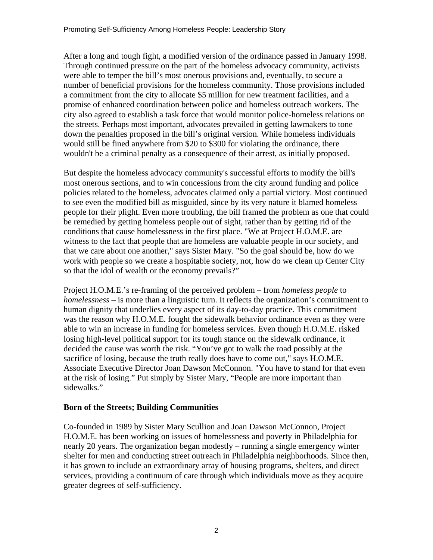After a long and tough fight, a modified version of the ordinance passed in January 1998. Through continued pressure on the part of the homeless advocacy community, activists were able to temper the bill's most onerous provisions and, eventually, to secure a number of beneficial provisions for the homeless community. Those provisions included a commitment from the city to allocate \$5 million for new treatment facilities, and a promise of enhanced coordination between police and homeless outreach workers. The city also agreed to establish a task force that would monitor police-homeless relations on the streets. Perhaps most important, advocates prevailed in getting lawmakers to tone down the penalties proposed in the bill's original version. While homeless individuals would still be fined anywhere from \$20 to \$300 for violating the ordinance, there wouldn't be a criminal penalty as a consequence of their arrest, as initially proposed.

But despite the homeless advocacy community's successful efforts to modify the bill's most onerous sections, and to win concessions from the city around funding and police policies related to the homeless, advocates claimed only a partial victory. Most continued to see even the modified bill as misguided, since by its very nature it blamed homeless people for their plight. Even more troubling, the bill framed the problem as one that could be remedied by getting homeless people out of sight, rather than by getting rid of the conditions that cause homelessness in the first place. "We at Project H.O.M.E. are witness to the fact that people that are homeless are valuable people in our society, and that we care about one another," says Sister Mary. "So the goal should be, how do we work with people so we create a hospitable society, not, how do we clean up Center City so that the idol of wealth or the economy prevails?"

Project H.O.M.E.'s re-framing of the perceived problem – from *homeless people* to *homelessness* – is more than a linguistic turn. It reflects the organization's commitment to human dignity that underlies every aspect of its day-to-day practice. This commitment was the reason why H.O.M.E. fought the sidewalk behavior ordinance even as they were able to win an increase in funding for homeless services. Even though H.O.M.E. risked losing high-level political support for its tough stance on the sidewalk ordinance, it decided the cause was worth the risk. "You've got to walk the road possibly at the sacrifice of losing, because the truth really does have to come out," says H.O.M.E. Associate Executive Director Joan Dawson McConnon. "You have to stand for that even at the risk of losing." Put simply by Sister Mary, "People are more important than sidewalks."

### **Born of the Streets; Building Communities**

Co-founded in 1989 by Sister Mary Scullion and Joan Dawson McConnon, Project H.O.M.E. has been working on issues of homelessness and poverty in Philadelphia for nearly 20 years. The organization began modestly – running a single emergency winter shelter for men and conducting street outreach in Philadelphia neighborhoods. Since then, it has grown to include an extraordinary array of housing programs, shelters, and direct services, providing a continuum of care through which individuals move as they acquire greater degrees of self-sufficiency.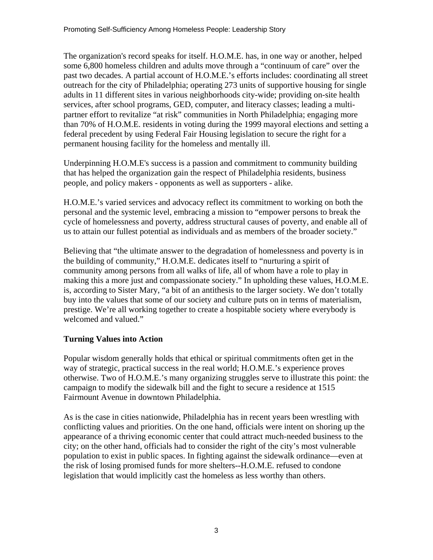The organization's record speaks for itself. H.O.M.E. has, in one way or another, helped some 6,800 homeless children and adults move through a "continuum of care" over the past two decades. A partial account of H.O.M.E.'s efforts includes: coordinating all street outreach for the city of Philadelphia; operating 273 units of supportive housing for single adults in 11 different sites in various neighborhoods city-wide; providing on-site health services, after school programs, GED, computer, and literacy classes; leading a multipartner effort to revitalize "at risk" communities in North Philadelphia; engaging more than 70% of H.O.M.E. residents in voting during the 1999 mayoral elections and setting a federal precedent by using Federal Fair Housing legislation to secure the right for a permanent housing facility for the homeless and mentally ill.

Underpinning H.O.M.E's success is a passion and commitment to community building that has helped the organization gain the respect of Philadelphia residents, business people, and policy makers - opponents as well as supporters - alike.

H.O.M.E.'s varied services and advocacy reflect its commitment to working on both the personal and the systemic level, embracing a mission to "empower persons to break the cycle of homelessness and poverty, address structural causes of poverty, and enable all of us to attain our fullest potential as individuals and as members of the broader society."

Believing that "the ultimate answer to the degradation of homelessness and poverty is in the building of community," H.O.M.E. dedicates itself to "nurturing a spirit of community among persons from all walks of life, all of whom have a role to play in making this a more just and compassionate society." In upholding these values, H.O.M.E. is, according to Sister Mary, "a bit of an antithesis to the larger society. We don't totally buy into the values that some of our society and culture puts on in terms of materialism, prestige. We're all working together to create a hospitable society where everybody is welcomed and valued."

## **Turning Values into Action**

Popular wisdom generally holds that ethical or spiritual commitments often get in the way of strategic, practical success in the real world; H.O.M.E.'s experience proves otherwise. Two of H.O.M.E.'s many organizing struggles serve to illustrate this point: the campaign to modify the sidewalk bill and the fight to secure a residence at 1515 Fairmount Avenue in downtown Philadelphia.

As is the case in cities nationwide, Philadelphia has in recent years been wrestling with conflicting values and priorities. On the one hand, officials were intent on shoring up the appearance of a thriving economic center that could attract much-needed business to the city; on the other hand, officials had to consider the right of the city's most vulnerable population to exist in public spaces. In fighting against the sidewalk ordinance—even at the risk of losing promised funds for more shelters--H.O.M.E. refused to condone legislation that would implicitly cast the homeless as less worthy than others.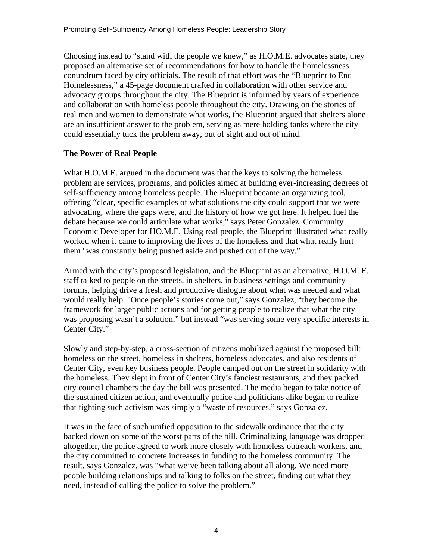Choosing instead to "stand with the people we knew," as H.O.M.E. advocates state, they proposed an alternative set of recommendations for how to handle the homelessness conundrum faced by city officials. The result of that effort was the "Blueprint to End Homelessness," a 45-page document crafted in collaboration with other service and advocacy groups throughout the city. The Blueprint is informed by years of experience and collaboration with homeless people throughout the city. Drawing on the stories of real men and women to demonstrate what works, the Blueprint argued that shelters alone are an insufficient answer to the problem, serving as mere holding tanks where the city could essentially tuck the problem away, out of sight and out of mind.

### **The Power of Real People**

What H.O.M.E. argued in the document was that the keys to solving the homeless problem are services, programs, and policies aimed at building ever-increasing degrees of self-sufficiency among homeless people. The Blueprint became an organizing tool, offering "clear, specific examples of what solutions the city could support that we were advocating, where the gaps were, and the history of how we got here. It helped fuel the debate because we could articulate what works," says Peter Gonzalez, Community Economic Developer for HO.M.E. Using real people, the Blueprint illustrated what really worked when it came to improving the lives of the homeless and that what really hurt them "was constantly being pushed aside and pushed out of the way."

Armed with the city's proposed legislation, and the Blueprint as an alternative, H.O.M. E. staff talked to people on the streets, in shelters, in business settings and community forums, helping drive a fresh and productive dialogue about what was needed and what would really help. "Once people's stories come out," says Gonzalez, "they become the framework for larger public actions and for getting people to realize that what the city was proposing wasn't a solution," but instead "was serving some very specific interests in Center City."

Slowly and step-by-step, a cross-section of citizens mobilized against the proposed bill: homeless on the street, homeless in shelters, homeless advocates, and also residents of Center City, even key business people. People camped out on the street in solidarity with the homeless. They slept in front of Center City's fanciest restaurants, and they packed city council chambers the day the bill was presented. The media began to take notice of the sustained citizen action, and eventually police and politicians alike began to realize that fighting such activism was simply a "waste of resources," says Gonzalez.

It was in the face of such unified opposition to the sidewalk ordinance that the city backed down on some of the worst parts of the bill. Criminalizing language was dropped altogether, the police agreed to work more closely with homeless outreach workers, and the city committed to concrete increases in funding to the homeless community. The result, says Gonzalez, was "what we've been talking about all along. We need more people building relationships and talking to folks on the street, finding out what they need, instead of calling the police to solve the problem."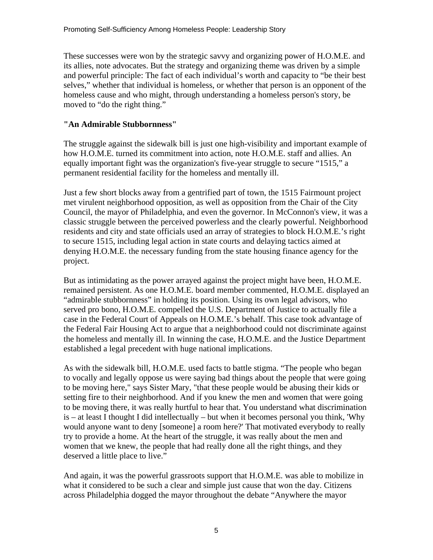These successes were won by the strategic savvy and organizing power of H.O.M.E. and its allies, note advocates. But the strategy and organizing theme was driven by a simple and powerful principle: The fact of each individual's worth and capacity to "be their best selves," whether that individual is homeless, or whether that person is an opponent of the homeless cause and who might, through understanding a homeless person's story, be moved to "do the right thing."

## **"An Admirable Stubbornness"**

The struggle against the sidewalk bill is just one high-visibility and important example of how H.O.M.E. turned its commitment into action, note H.O.M.E. staff and allies. An equally important fight was the organization's five-year struggle to secure "1515," a permanent residential facility for the homeless and mentally ill.

Just a few short blocks away from a gentrified part of town, the 1515 Fairmount project met virulent neighborhood opposition, as well as opposition from the Chair of the City Council, the mayor of Philadelphia, and even the governor. In McConnon's view, it was a classic struggle between the perceived powerless and the clearly powerful. Neighborhood residents and city and state officials used an array of strategies to block H.O.M.E.'s right to secure 1515, including legal action in state courts and delaying tactics aimed at denying H.O.M.E. the necessary funding from the state housing finance agency for the project.

But as intimidating as the power arrayed against the project might have been, H.O.M.E. remained persistent. As one H.O.M.E. board member commented, H.O.M.E. displayed an "admirable stubbornness" in holding its position. Using its own legal advisors, who served pro bono, H.O.M.E. compelled the U.S. Department of Justice to actually file a case in the Federal Court of Appeals on H.O.M.E.'s behalf. This case took advantage of the Federal Fair Housing Act to argue that a neighborhood could not discriminate against the homeless and mentally ill. In winning the case, H.O.M.E. and the Justice Department established a legal precedent with huge national implications.

As with the sidewalk bill, H.O.M.E. used facts to battle stigma. "The people who began to vocally and legally oppose us were saying bad things about the people that were going to be moving here," says Sister Mary, "that these people would be abusing their kids or setting fire to their neighborhood. And if you knew the men and women that were going to be moving there, it was really hurtful to hear that. You understand what discrimination is – at least I thought I did intellectually – but when it becomes personal you think, 'Why would anyone want to deny [someone] a room here?' That motivated everybody to really try to provide a home. At the heart of the struggle, it was really about the men and women that we knew, the people that had really done all the right things, and they deserved a little place to live."

And again, it was the powerful grassroots support that H.O.M.E. was able to mobilize in what it considered to be such a clear and simple just cause that won the day. Citizens across Philadelphia dogged the mayor throughout the debate "Anywhere the mayor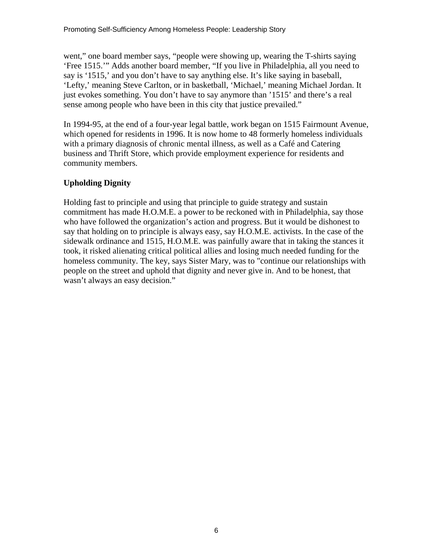went," one board member says, "people were showing up, wearing the T-shirts saying 'Free 1515.'" Adds another board member, "If you live in Philadelphia, all you need to say is '1515,' and you don't have to say anything else. It's like saying in baseball, 'Lefty,' meaning Steve Carlton, or in basketball, 'Michael,' meaning Michael Jordan. It just evokes something. You don't have to say anymore than '1515' and there's a real sense among people who have been in this city that justice prevailed."

In 1994-95, at the end of a four-year legal battle, work began on 1515 Fairmount Avenue, which opened for residents in 1996. It is now home to 48 formerly homeless individuals with a primary diagnosis of chronic mental illness, as well as a Café and Catering business and Thrift Store, which provide employment experience for residents and community members.

## **Upholding Dignity**

Holding fast to principle and using that principle to guide strategy and sustain commitment has made H.O.M.E. a power to be reckoned with in Philadelphia, say those who have followed the organization's action and progress. But it would be dishonest to say that holding on to principle is always easy, say H.O.M.E. activists. In the case of the sidewalk ordinance and 1515, H.O.M.E. was painfully aware that in taking the stances it took, it risked alienating critical political allies and losing much needed funding for the homeless community. The key, says Sister Mary, was to "continue our relationships with people on the street and uphold that dignity and never give in. And to be honest, that wasn't always an easy decision."